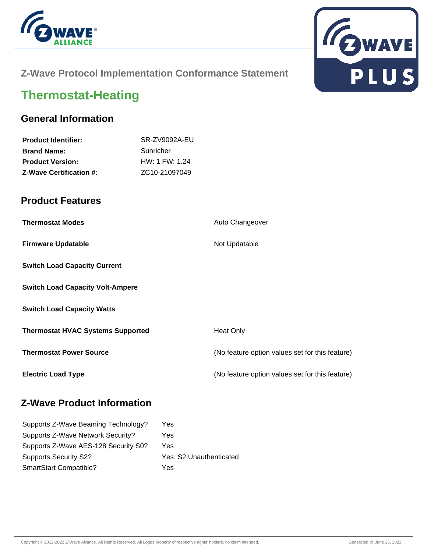



### **Z-Wave Protocol Implementation Conformance Statement**

# **Thermostat-Heating**

#### **General Information**

| <b>Product Identifier:</b>     | SR-ZV9092A-EU              |
|--------------------------------|----------------------------|
| <b>Brand Name:</b>             | Sunricher                  |
| <b>Product Version:</b>        | HW: 1 FW: 1.24             |
| <b>Z-Wave Certification #:</b> | ZC <sub>10</sub> -21097049 |
|                                |                            |

#### **Product Features**

| <b>Thermostat Modes</b>                  | Auto Changeover                                 |
|------------------------------------------|-------------------------------------------------|
| <b>Firmware Updatable</b>                | Not Updatable                                   |
| <b>Switch Load Capacity Current</b>      |                                                 |
| <b>Switch Load Capacity Volt-Ampere</b>  |                                                 |
| <b>Switch Load Capacity Watts</b>        |                                                 |
| <b>Thermostat HVAC Systems Supported</b> | <b>Heat Only</b>                                |
| <b>Thermostat Power Source</b>           | (No feature option values set for this feature) |
| <b>Electric Load Type</b>                | (No feature option values set for this feature) |

#### **Z-Wave Product Information**

| Supports Z-Wave Beaming Technology?  | Yes                     |
|--------------------------------------|-------------------------|
| Supports Z-Wave Network Security?    | Yes                     |
| Supports Z-Wave AES-128 Security S0? | Yes                     |
| <b>Supports Security S2?</b>         | Yes: S2 Unauthenticated |
| SmartStart Compatible?               | Yes                     |